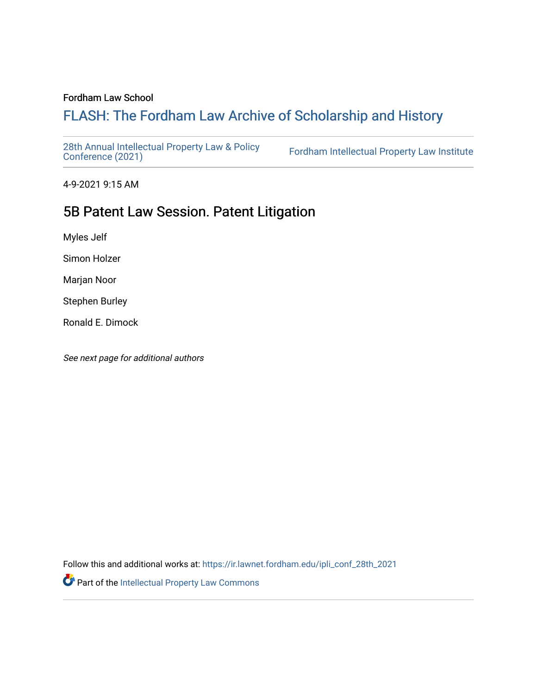#### Fordham Law School

# FLASH: The For[dham Law Archive of Scholarship and Hist](https://ir.lawnet.fordham.edu/)ory

[28th Annual Intellectual Property Law & Policy](https://ir.lawnet.fordham.edu/ipli_conf_28th_2021)<br>Conference (2021)

Fordham Intellectual Property Law Institute

4-9-2021 9:15 AM

# 5B Patent Law Session. Patent Litigation

Myles Jelf

Simon Holzer

Marjan Noor

Stephen Burley

Ronald E. Dimock

See next page for additional authors

Follow this and additional works at: [https://ir.lawnet.fordham.edu/ipli\\_conf\\_28th\\_2021](https://ir.lawnet.fordham.edu/ipli_conf_28th_2021?utm_source=ir.lawnet.fordham.edu%2Fipli_conf_28th_2021%2F14&utm_medium=PDF&utm_campaign=PDFCoverPages) 

Part of the [Intellectual Property Law Commons](http://network.bepress.com/hgg/discipline/896?utm_source=ir.lawnet.fordham.edu%2Fipli_conf_28th_2021%2F14&utm_medium=PDF&utm_campaign=PDFCoverPages)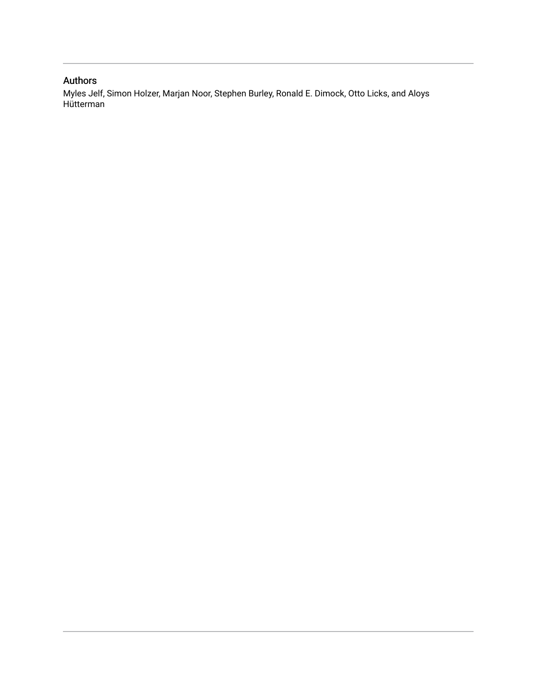### Authors

Myles Jelf, Simon Holzer, Marjan Noor, Stephen Burley, Ronald E. Dimock, Otto Licks, and Aloys Hütterman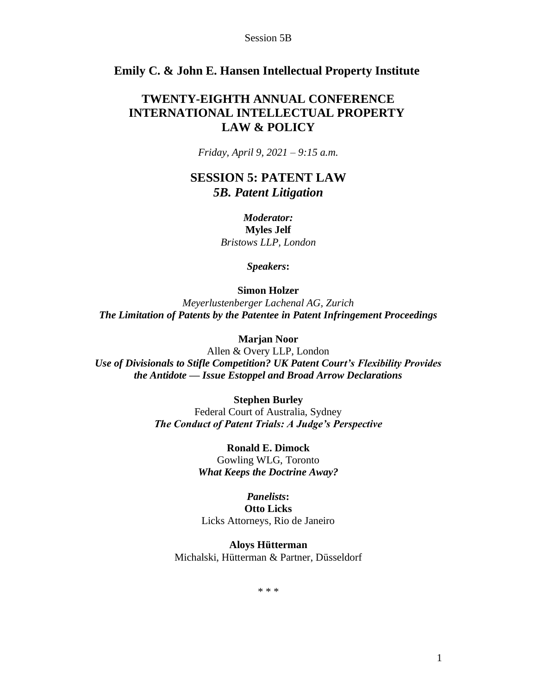### **Emily C. & John E. Hansen Intellectual Property Institute**

## **TWENTY-EIGHTH ANNUAL CONFERENCE INTERNATIONAL INTELLECTUAL PROPERTY LAW & POLICY**

*Friday, April 9, 2021 – 9:15 a.m.*

## **SESSION 5: PATENT LAW**  *5B. Patent Litigation*

*Moderator:* **Myles Jelf** *Bristows LLP, London*

*Speakers***:**

**Simon Holzer**

*Meyerlustenberger Lachenal AG, Zurich The Limitation of Patents by the Patentee in Patent Infringement Proceedings*

**Marjan Noor**

Allen & Overy LLP, London *Use of Divisionals to Stifle Competition? UK Patent Court's Flexibility Provides the Antidote — Issue Estoppel and Broad Arrow Declarations*

> **Stephen Burley** Federal Court of Australia, Sydney *The Conduct of Patent Trials: A Judge's Perspective*

> > **Ronald E. Dimock** Gowling WLG, Toronto *What Keeps the Doctrine Away?*

*Panelists***: Otto Licks** Licks Attorneys, Rio de Janeiro

**Aloys Hütterman** Michalski, Hütterman & Partner, Düsseldorf

\* \* \*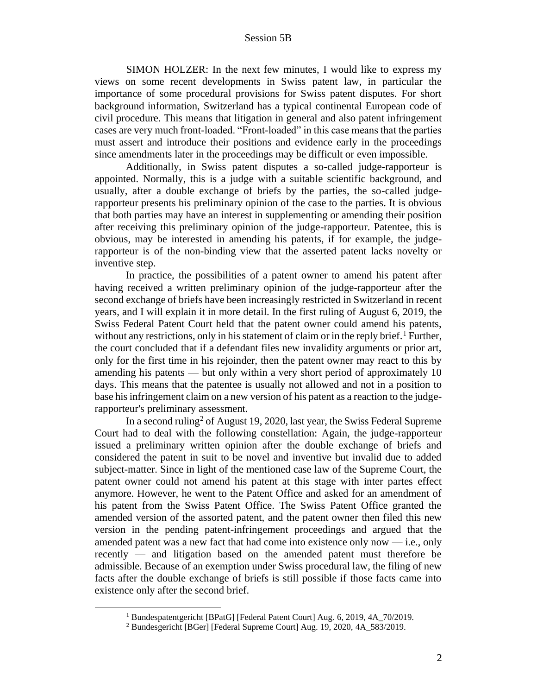SIMON HOLZER: In the next few minutes, I would like to express my views on some recent developments in Swiss patent law, in particular the importance of some procedural provisions for Swiss patent disputes. For short background information, Switzerland has a typical continental European code of civil procedure. This means that litigation in general and also patent infringement cases are very much front-loaded. "Front-loaded" in this case means that the parties must assert and introduce their positions and evidence early in the proceedings since amendments later in the proceedings may be difficult or even impossible.

Additionally, in Swiss patent disputes a so-called judge-rapporteur is appointed. Normally, this is a judge with a suitable scientific background, and usually, after a double exchange of briefs by the parties, the so-called judgerapporteur presents his preliminary opinion of the case to the parties. It is obvious that both parties may have an interest in supplementing or amending their position after receiving this preliminary opinion of the judge-rapporteur. Patentee, this is obvious, may be interested in amending his patents, if for example, the judgerapporteur is of the non-binding view that the asserted patent lacks novelty or inventive step.

In practice, the possibilities of a patent owner to amend his patent after having received a written preliminary opinion of the judge-rapporteur after the second exchange of briefs have been increasingly restricted in Switzerland in recent years, and I will explain it in more detail. In the first ruling of August 6, 2019, the Swiss Federal Patent Court held that the patent owner could amend his patents, without any restrictions, only in his statement of claim or in the reply brief.  $\frac{1}{1}$  Further, the court concluded that if a defendant files new invalidity arguments or prior art, only for the first time in his rejoinder, then the patent owner may react to this by amending his patents — but only within a very short period of approximately 10 days. This means that the patentee is usually not allowed and not in a position to base his infringement claim on a new version of his patent as a reaction to the judgerapporteur's preliminary assessment.

In a second ruling<sup>2</sup> of August 19, 2020, last year, the Swiss Federal Supreme Court had to deal with the following constellation: Again, the judge-rapporteur issued a preliminary written opinion after the double exchange of briefs and considered the patent in suit to be novel and inventive but invalid due to added subject-matter. Since in light of the mentioned case law of the Supreme Court, the patent owner could not amend his patent at this stage with inter partes effect anymore. However, he went to the Patent Office and asked for an amendment of his patent from the Swiss Patent Office. The Swiss Patent Office granted the amended version of the assorted patent, and the patent owner then filed this new version in the pending patent-infringement proceedings and argued that the amended patent was a new fact that had come into existence only now — i.e., only recently — and litigation based on the amended patent must therefore be admissible. Because of an exemption under Swiss procedural law, the filing of new facts after the double exchange of briefs is still possible if those facts came into existence only after the second brief.

<sup>&</sup>lt;sup>1</sup> Bundespatentgericht [BPatG] [Federal Patent Court] Aug. 6, 2019, 4A\_70/2019.

<sup>2</sup> Bundesgericht [BGer] [Federal Supreme Court] Aug. 19, 2020, 4A\_583/2019.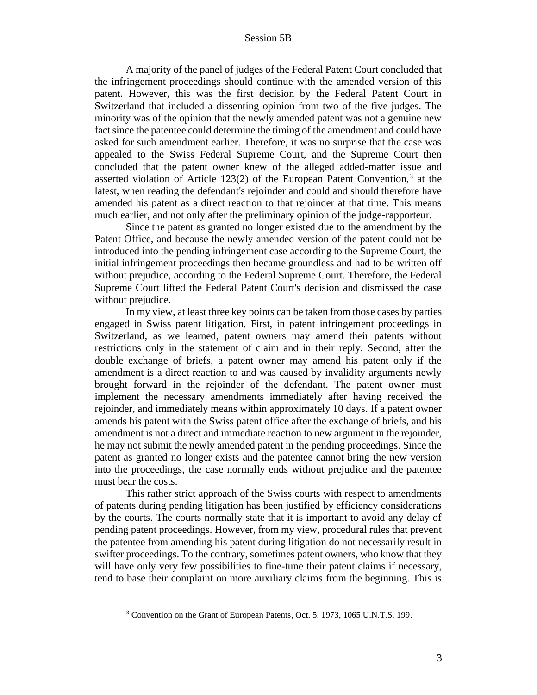A majority of the panel of judges of the Federal Patent Court concluded that the infringement proceedings should continue with the amended version of this patent. However, this was the first decision by the Federal Patent Court in Switzerland that included a dissenting opinion from two of the five judges. The minority was of the opinion that the newly amended patent was not a genuine new fact since the patentee could determine the timing of the amendment and could have asked for such amendment earlier. Therefore, it was no surprise that the case was appealed to the Swiss Federal Supreme Court, and the Supreme Court then concluded that the patent owner knew of the alleged added-matter issue and asserted violation of Article  $123(2)$  of the European Patent Convention,<sup>3</sup> at the latest, when reading the defendant's rejoinder and could and should therefore have amended his patent as a direct reaction to that rejoinder at that time. This means much earlier, and not only after the preliminary opinion of the judge-rapporteur.

Since the patent as granted no longer existed due to the amendment by the Patent Office, and because the newly amended version of the patent could not be introduced into the pending infringement case according to the Supreme Court, the initial infringement proceedings then became groundless and had to be written off without prejudice, according to the Federal Supreme Court. Therefore, the Federal Supreme Court lifted the Federal Patent Court's decision and dismissed the case without prejudice.

In my view, at least three key points can be taken from those cases by parties engaged in Swiss patent litigation. First, in patent infringement proceedings in Switzerland, as we learned, patent owners may amend their patents without restrictions only in the statement of claim and in their reply. Second, after the double exchange of briefs, a patent owner may amend his patent only if the amendment is a direct reaction to and was caused by invalidity arguments newly brought forward in the rejoinder of the defendant. The patent owner must implement the necessary amendments immediately after having received the rejoinder, and immediately means within approximately 10 days. If a patent owner amends his patent with the Swiss patent office after the exchange of briefs, and his amendment is not a direct and immediate reaction to new argument in the rejoinder, he may not submit the newly amended patent in the pending proceedings. Since the patent as granted no longer exists and the patentee cannot bring the new version into the proceedings, the case normally ends without prejudice and the patentee must bear the costs.

This rather strict approach of the Swiss courts with respect to amendments of patents during pending litigation has been justified by efficiency considerations by the courts. The courts normally state that it is important to avoid any delay of pending patent proceedings. However, from my view, procedural rules that prevent the patentee from amending his patent during litigation do not necessarily result in swifter proceedings. To the contrary, sometimes patent owners, who know that they will have only very few possibilities to fine-tune their patent claims if necessary, tend to base their complaint on more auxiliary claims from the beginning. This is

<sup>&</sup>lt;sup>3</sup> Convention on the Grant of European Patents, Oct. 5, 1973, 1065 U.N.T.S. 199.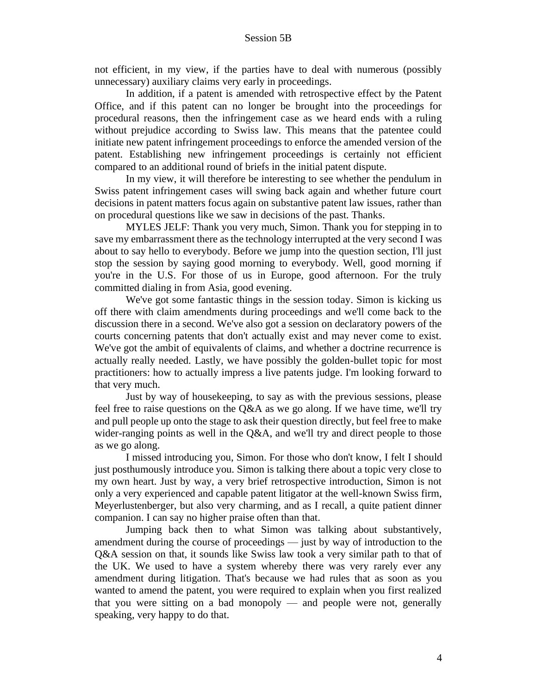not efficient, in my view, if the parties have to deal with numerous (possibly unnecessary) auxiliary claims very early in proceedings.

In addition, if a patent is amended with retrospective effect by the Patent Office, and if this patent can no longer be brought into the proceedings for procedural reasons, then the infringement case as we heard ends with a ruling without prejudice according to Swiss law. This means that the patentee could initiate new patent infringement proceedings to enforce the amended version of the patent. Establishing new infringement proceedings is certainly not efficient compared to an additional round of briefs in the initial patent dispute.

In my view, it will therefore be interesting to see whether the pendulum in Swiss patent infringement cases will swing back again and whether future court decisions in patent matters focus again on substantive patent law issues, rather than on procedural questions like we saw in decisions of the past. Thanks.

MYLES JELF: Thank you very much, Simon. Thank you for stepping in to save my embarrassment there as the technology interrupted at the very second I was about to say hello to everybody. Before we jump into the question section, I'll just stop the session by saying good morning to everybody. Well, good morning if you're in the U.S. For those of us in Europe, good afternoon. For the truly committed dialing in from Asia, good evening.

We've got some fantastic things in the session today. Simon is kicking us off there with claim amendments during proceedings and we'll come back to the discussion there in a second. We've also got a session on declaratory powers of the courts concerning patents that don't actually exist and may never come to exist. We've got the ambit of equivalents of claims, and whether a doctrine recurrence is actually really needed. Lastly, we have possibly the golden-bullet topic for most practitioners: how to actually impress a live patents judge. I'm looking forward to that very much.

Just by way of housekeeping, to say as with the previous sessions, please feel free to raise questions on the Q&A as we go along. If we have time, we'll try and pull people up onto the stage to ask their question directly, but feel free to make wider-ranging points as well in the Q&A, and we'll try and direct people to those as we go along.

I missed introducing you, Simon. For those who don't know, I felt I should just posthumously introduce you. Simon is talking there about a topic very close to my own heart. Just by way, a very brief retrospective introduction, Simon is not only a very experienced and capable patent litigator at the well-known Swiss firm, Meyerlustenberger, but also very charming, and as I recall, a quite patient dinner companion. I can say no higher praise often than that.

Jumping back then to what Simon was talking about substantively, amendment during the course of proceedings — just by way of introduction to the Q&A session on that, it sounds like Swiss law took a very similar path to that of the UK. We used to have a system whereby there was very rarely ever any amendment during litigation. That's because we had rules that as soon as you wanted to amend the patent, you were required to explain when you first realized that you were sitting on a bad monopoly — and people were not, generally speaking, very happy to do that.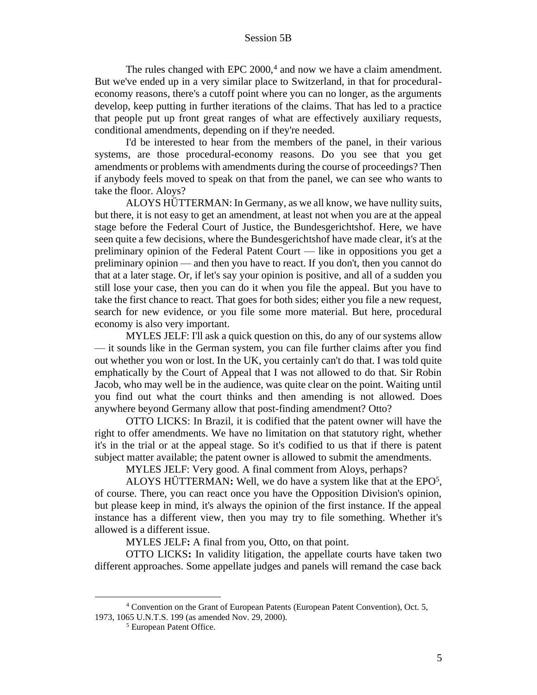The rules changed with EPC  $2000<sup>4</sup>$  and now we have a claim amendment. But we've ended up in a very similar place to Switzerland, in that for proceduraleconomy reasons, there's a cutoff point where you can no longer, as the arguments develop, keep putting in further iterations of the claims. That has led to a practice that people put up front great ranges of what are effectively auxiliary requests, conditional amendments, depending on if they're needed.

I'd be interested to hear from the members of the panel, in their various systems, are those procedural-economy reasons. Do you see that you get amendments or problems with amendments during the course of proceedings? Then if anybody feels moved to speak on that from the panel, we can see who wants to take the floor. Aloys?

ALOYS HÜTTERMAN: In Germany, as we all know, we have nullity suits, but there, it is not easy to get an amendment, at least not when you are at the appeal stage before the Federal Court of Justice, the Bundesgerichtshof. Here, we have seen quite a few decisions, where the Bundesgerichtshof have made clear, it's at the preliminary opinion of the Federal Patent Court — like in oppositions you get a preliminary opinion — and then you have to react. If you don't, then you cannot do that at a later stage. Or, if let's say your opinion is positive, and all of a sudden you still lose your case, then you can do it when you file the appeal. But you have to take the first chance to react. That goes for both sides; either you file a new request, search for new evidence, or you file some more material. But here, procedural economy is also very important.

MYLES JELF: I'll ask a quick question on this, do any of our systems allow — it sounds like in the German system, you can file further claims after you find out whether you won or lost. In the UK, you certainly can't do that. I was told quite emphatically by the Court of Appeal that I was not allowed to do that. Sir Robin Jacob, who may well be in the audience, was quite clear on the point. Waiting until you find out what the court thinks and then amending is not allowed. Does anywhere beyond Germany allow that post-finding amendment? Otto?

OTTO LICKS: In Brazil, it is codified that the patent owner will have the right to offer amendments. We have no limitation on that statutory right, whether it's in the trial or at the appeal stage. So it's codified to us that if there is patent subject matter available; the patent owner is allowed to submit the amendments.

MYLES JELF: Very good. A final comment from Aloys, perhaps?

ALOYS HÜTTERMAN**:** Well, we do have a system like that at the EPO<sup>5</sup> , of course. There, you can react once you have the Opposition Division's opinion, but please keep in mind, it's always the opinion of the first instance. If the appeal instance has a different view, then you may try to file something. Whether it's allowed is a different issue.

MYLES JELF**:** A final from you, Otto, on that point.

OTTO LICKS**:** In validity litigation, the appellate courts have taken two different approaches. Some appellate judges and panels will remand the case back

<sup>4</sup> Convention on the Grant of European Patents (European Patent Convention), Oct. 5, 1973, 1065 U.N.T.S. 199 (as amended Nov. 29, 2000).

<sup>5</sup> European Patent Office.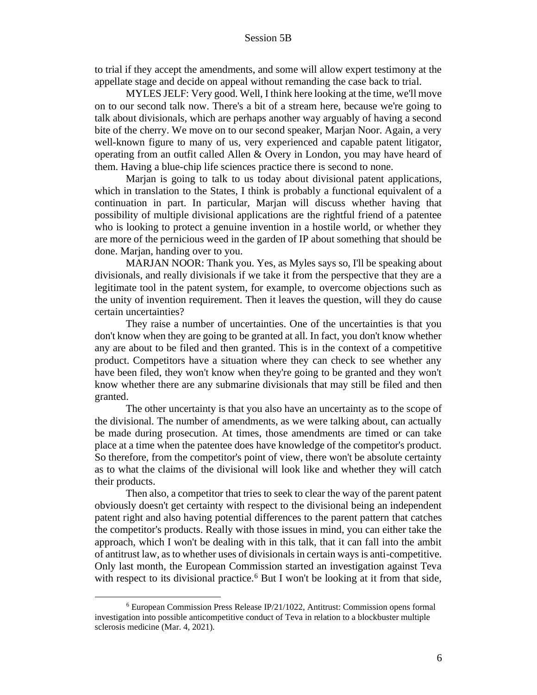to trial if they accept the amendments, and some will allow expert testimony at the appellate stage and decide on appeal without remanding the case back to trial.

MYLES JELF: Very good. Well, I think here looking at the time, we'll move on to our second talk now. There's a bit of a stream here, because we're going to talk about divisionals, which are perhaps another way arguably of having a second bite of the cherry. We move on to our second speaker, Marjan Noor. Again, a very well-known figure to many of us, very experienced and capable patent litigator, operating from an outfit called Allen & Overy in London, you may have heard of them. Having a blue-chip life sciences practice there is second to none.

Marjan is going to talk to us today about divisional patent applications, which in translation to the States, I think is probably a functional equivalent of a continuation in part. In particular, Marjan will discuss whether having that possibility of multiple divisional applications are the rightful friend of a patentee who is looking to protect a genuine invention in a hostile world, or whether they are more of the pernicious weed in the garden of IP about something that should be done. Marjan, handing over to you.

MARJAN NOOR: Thank you. Yes, as Myles says so, I'll be speaking about divisionals, and really divisionals if we take it from the perspective that they are a legitimate tool in the patent system, for example, to overcome objections such as the unity of invention requirement. Then it leaves the question, will they do cause certain uncertainties?

They raise a number of uncertainties. One of the uncertainties is that you don't know when they are going to be granted at all. In fact, you don't know whether any are about to be filed and then granted. This is in the context of a competitive product. Competitors have a situation where they can check to see whether any have been filed, they won't know when they're going to be granted and they won't know whether there are any submarine divisionals that may still be filed and then granted.

The other uncertainty is that you also have an uncertainty as to the scope of the divisional. The number of amendments, as we were talking about, can actually be made during prosecution. At times, those amendments are timed or can take place at a time when the patentee does have knowledge of the competitor's product. So therefore, from the competitor's point of view, there won't be absolute certainty as to what the claims of the divisional will look like and whether they will catch their products.

Then also, a competitor that tries to seek to clear the way of the parent patent obviously doesn't get certainty with respect to the divisional being an independent patent right and also having potential differences to the parent pattern that catches the competitor's products. Really with those issues in mind, you can either take the approach, which I won't be dealing with in this talk, that it can fall into the ambit of antitrust law, as to whether uses of divisionals in certain ways is anti-competitive. Only last month, the European Commission started an investigation against Teva with respect to its divisional practice.<sup>6</sup> But I won't be looking at it from that side,

<sup>6</sup> European Commission Press Release IP/21/1022, Antitrust: Commission opens formal investigation into possible anticompetitive conduct of Teva in relation to a blockbuster multiple sclerosis medicine (Mar. 4, 2021).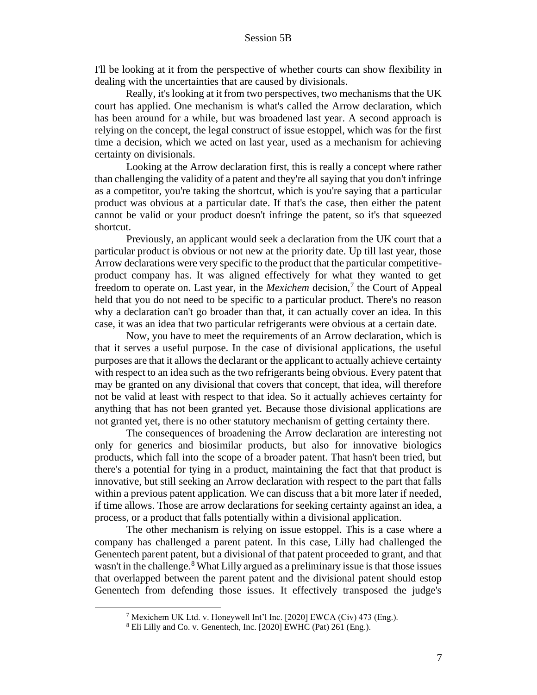I'll be looking at it from the perspective of whether courts can show flexibility in dealing with the uncertainties that are caused by divisionals.

Really, it's looking at it from two perspectives, two mechanisms that the UK court has applied. One mechanism is what's called the Arrow declaration, which has been around for a while, but was broadened last year. A second approach is relying on the concept, the legal construct of issue estoppel, which was for the first time a decision, which we acted on last year, used as a mechanism for achieving certainty on divisionals.

Looking at the Arrow declaration first, this is really a concept where rather than challenging the validity of a patent and they're all saying that you don't infringe as a competitor, you're taking the shortcut, which is you're saying that a particular product was obvious at a particular date. If that's the case, then either the patent cannot be valid or your product doesn't infringe the patent, so it's that squeezed shortcut.

Previously, an applicant would seek a declaration from the UK court that a particular product is obvious or not new at the priority date. Up till last year, those Arrow declarations were very specific to the product that the particular competitiveproduct company has. It was aligned effectively for what they wanted to get freedom to operate on. Last year, in the *Mexichem* decision,<sup>7</sup> the Court of Appeal held that you do not need to be specific to a particular product. There's no reason why a declaration can't go broader than that, it can actually cover an idea. In this case, it was an idea that two particular refrigerants were obvious at a certain date.

Now, you have to meet the requirements of an Arrow declaration, which is that it serves a useful purpose. In the case of divisional applications, the useful purposes are that it allows the declarant or the applicant to actually achieve certainty with respect to an idea such as the two refrigerants being obvious. Every patent that may be granted on any divisional that covers that concept, that idea, will therefore not be valid at least with respect to that idea. So it actually achieves certainty for anything that has not been granted yet. Because those divisional applications are not granted yet, there is no other statutory mechanism of getting certainty there.

The consequences of broadening the Arrow declaration are interesting not only for generics and biosimilar products, but also for innovative biologics products, which fall into the scope of a broader patent. That hasn't been tried, but there's a potential for tying in a product, maintaining the fact that that product is innovative, but still seeking an Arrow declaration with respect to the part that falls within a previous patent application. We can discuss that a bit more later if needed, if time allows. Those are arrow declarations for seeking certainty against an idea, a process, or a product that falls potentially within a divisional application.

The other mechanism is relying on issue estoppel. This is a case where a company has challenged a parent patent. In this case, Lilly had challenged the Genentech parent patent, but a divisional of that patent proceeded to grant, and that wasn't in the challenge.<sup>8</sup> What Lilly argued as a preliminary issue is that those issues that overlapped between the parent patent and the divisional patent should estop Genentech from defending those issues. It effectively transposed the judge's

<sup>7</sup> Mexichem UK Ltd. v. Honeywell Int'l Inc. [2020] EWCA (Civ) 473 (Eng.).

<sup>8</sup> Eli Lilly and Co. v. Genentech, Inc. [2020] EWHC (Pat) 261 (Eng.).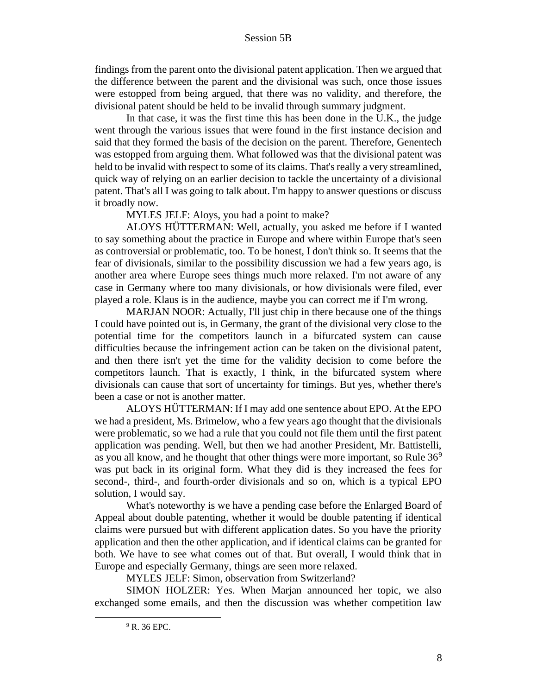findings from the parent onto the divisional patent application. Then we argued that the difference between the parent and the divisional was such, once those issues were estopped from being argued, that there was no validity, and therefore, the divisional patent should be held to be invalid through summary judgment.

In that case, it was the first time this has been done in the U.K., the judge went through the various issues that were found in the first instance decision and said that they formed the basis of the decision on the parent. Therefore, Genentech was estopped from arguing them. What followed was that the divisional patent was held to be invalid with respect to some of its claims. That's really a very streamlined, quick way of relying on an earlier decision to tackle the uncertainty of a divisional patent. That's all I was going to talk about. I'm happy to answer questions or discuss it broadly now.

MYLES JELF: Aloys, you had a point to make?

ALOYS HÜTTERMAN: Well, actually, you asked me before if I wanted to say something about the practice in Europe and where within Europe that's seen as controversial or problematic, too. To be honest, I don't think so. It seems that the fear of divisionals, similar to the possibility discussion we had a few years ago, is another area where Europe sees things much more relaxed. I'm not aware of any case in Germany where too many divisionals, or how divisionals were filed, ever played a role. Klaus is in the audience, maybe you can correct me if I'm wrong.

MARJAN NOOR: Actually, I'll just chip in there because one of the things I could have pointed out is, in Germany, the grant of the divisional very close to the potential time for the competitors launch in a bifurcated system can cause difficulties because the infringement action can be taken on the divisional patent, and then there isn't yet the time for the validity decision to come before the competitors launch. That is exactly, I think, in the bifurcated system where divisionals can cause that sort of uncertainty for timings. But yes, whether there's been a case or not is another matter.

ALOYS HÜTTERMAN: If I may add one sentence about EPO. At the EPO we had a president, Ms. Brimelow, who a few years ago thought that the divisionals were problematic, so we had a rule that you could not file them until the first patent application was pending. Well, but then we had another President, Mr. Battistelli, as you all know, and he thought that other things were more important, so Rule  $36<sup>9</sup>$ was put back in its original form. What they did is they increased the fees for second-, third-, and fourth-order divisionals and so on, which is a typical EPO solution, I would say.

What's noteworthy is we have a pending case before the Enlarged Board of Appeal about double patenting, whether it would be double patenting if identical claims were pursued but with different application dates. So you have the priority application and then the other application, and if identical claims can be granted for both. We have to see what comes out of that. But overall, I would think that in Europe and especially Germany, things are seen more relaxed.

MYLES JELF: Simon, observation from Switzerland?

SIMON HOLZER: Yes. When Marjan announced her topic, we also exchanged some emails, and then the discussion was whether competition law

 $9$  R. 36 EPC.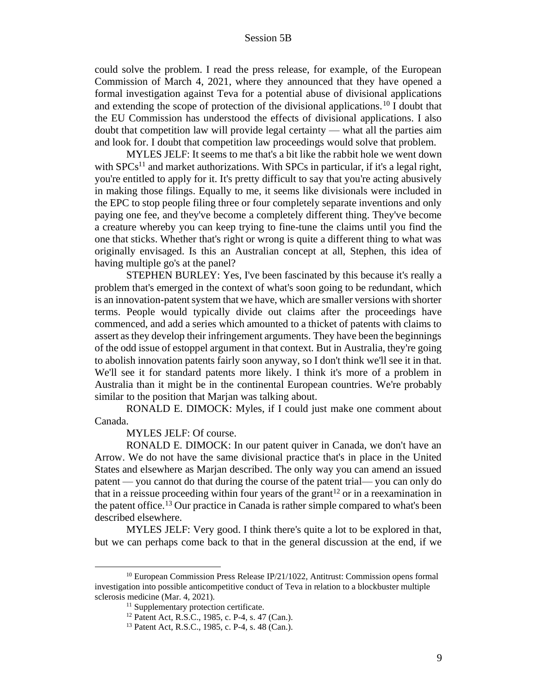could solve the problem. I read the press release, for example, of the European Commission of March 4, 2021, where they announced that they have opened a formal investigation against Teva for a potential abuse of divisional applications and extending the scope of protection of the divisional applications.<sup>10</sup> I doubt that the EU Commission has understood the effects of divisional applications. I also doubt that competition law will provide legal certainty — what all the parties aim and look for. I doubt that competition law proceedings would solve that problem.

MYLES JELF: It seems to me that's a bit like the rabbit hole we went down with  $SPCs<sup>11</sup>$  and market authorizations. With  $SPCs$  in particular, if it's a legal right, you're entitled to apply for it. It's pretty difficult to say that you're acting abusively in making those filings. Equally to me, it seems like divisionals were included in the EPC to stop people filing three or four completely separate inventions and only paying one fee, and they've become a completely different thing. They've become a creature whereby you can keep trying to fine-tune the claims until you find the one that sticks. Whether that's right or wrong is quite a different thing to what was originally envisaged. Is this an Australian concept at all, Stephen, this idea of having multiple go's at the panel?

STEPHEN BURLEY: Yes, I've been fascinated by this because it's really a problem that's emerged in the context of what's soon going to be redundant, which is an innovation-patent system that we have, which are smaller versions with shorter terms. People would typically divide out claims after the proceedings have commenced, and add a series which amounted to a thicket of patents with claims to assert as they develop their infringement arguments. They have been the beginnings of the odd issue of estoppel argument in that context. But in Australia, they're going to abolish innovation patents fairly soon anyway, so I don't think we'll see it in that. We'll see it for standard patents more likely. I think it's more of a problem in Australia than it might be in the continental European countries. We're probably similar to the position that Marjan was talking about.

RONALD E. DIMOCK: Myles, if I could just make one comment about Canada.

MYLES JELF: Of course.

RONALD E. DIMOCK: In our patent quiver in Canada, we don't have an Arrow. We do not have the same divisional practice that's in place in the United States and elsewhere as Marjan described. The only way you can amend an issued patent — you cannot do that during the course of the patent trial— you can only do that in a reissue proceeding within four years of the grant<sup>12</sup> or in a reexamination in the patent office.<sup>13</sup> Our practice in Canada is rather simple compared to what's been described elsewhere.

MYLES JELF: Very good. I think there's quite a lot to be explored in that, but we can perhaps come back to that in the general discussion at the end, if we

<sup>10</sup> European Commission Press Release IP/21/1022, Antitrust: Commission opens formal investigation into possible anticompetitive conduct of Teva in relation to a blockbuster multiple sclerosis medicine (Mar. 4, 2021).

<sup>&</sup>lt;sup>11</sup> Supplementary protection certificate.

<sup>12</sup> Patent Act, R.S.C., 1985, c. P-4, s. 47 (Can.).

<sup>13</sup> Patent Act, R.S.C., 1985, c. P-4, s. 48 (Can.).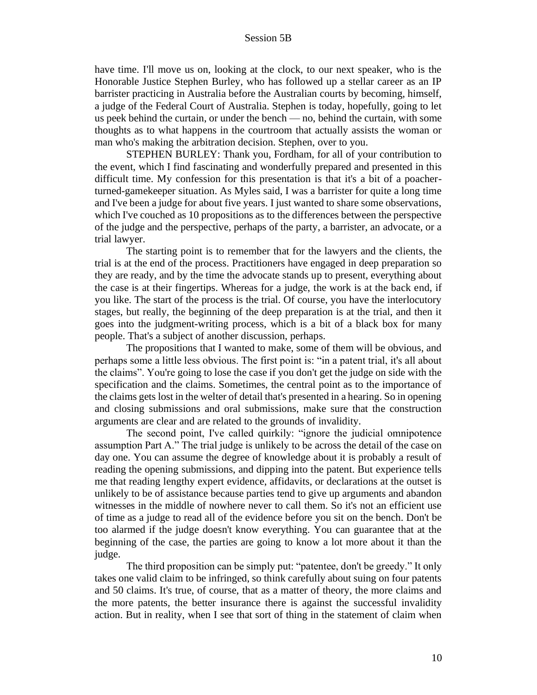have time. I'll move us on, looking at the clock, to our next speaker, who is the Honorable Justice Stephen Burley, who has followed up a stellar career as an IP barrister practicing in Australia before the Australian courts by becoming, himself, a judge of the Federal Court of Australia. Stephen is today, hopefully, going to let us peek behind the curtain, or under the bench — no, behind the curtain, with some thoughts as to what happens in the courtroom that actually assists the woman or man who's making the arbitration decision. Stephen, over to you.

STEPHEN BURLEY: Thank you, Fordham, for all of your contribution to the event, which I find fascinating and wonderfully prepared and presented in this difficult time. My confession for this presentation is that it's a bit of a poacherturned-gamekeeper situation. As Myles said, I was a barrister for quite a long time and I've been a judge for about five years. I just wanted to share some observations, which I've couched as 10 propositions as to the differences between the perspective of the judge and the perspective, perhaps of the party, a barrister, an advocate, or a trial lawyer.

The starting point is to remember that for the lawyers and the clients, the trial is at the end of the process. Practitioners have engaged in deep preparation so they are ready, and by the time the advocate stands up to present, everything about the case is at their fingertips. Whereas for a judge, the work is at the back end, if you like. The start of the process is the trial. Of course, you have the interlocutory stages, but really, the beginning of the deep preparation is at the trial, and then it goes into the judgment-writing process, which is a bit of a black box for many people. That's a subject of another discussion, perhaps.

The propositions that I wanted to make, some of them will be obvious, and perhaps some a little less obvious. The first point is: "in a patent trial, it's all about the claims". You're going to lose the case if you don't get the judge on side with the specification and the claims. Sometimes, the central point as to the importance of the claims gets lost in the welter of detail that's presented in a hearing. So in opening and closing submissions and oral submissions, make sure that the construction arguments are clear and are related to the grounds of invalidity.

The second point, I've called quirkily: "ignore the judicial omnipotence assumption Part A." The trial judge is unlikely to be across the detail of the case on day one. You can assume the degree of knowledge about it is probably a result of reading the opening submissions, and dipping into the patent. But experience tells me that reading lengthy expert evidence, affidavits, or declarations at the outset is unlikely to be of assistance because parties tend to give up arguments and abandon witnesses in the middle of nowhere never to call them. So it's not an efficient use of time as a judge to read all of the evidence before you sit on the bench. Don't be too alarmed if the judge doesn't know everything. You can guarantee that at the beginning of the case, the parties are going to know a lot more about it than the judge.

The third proposition can be simply put: "patentee, don't be greedy." It only takes one valid claim to be infringed, so think carefully about suing on four patents and 50 claims. It's true, of course, that as a matter of theory, the more claims and the more patents, the better insurance there is against the successful invalidity action. But in reality, when I see that sort of thing in the statement of claim when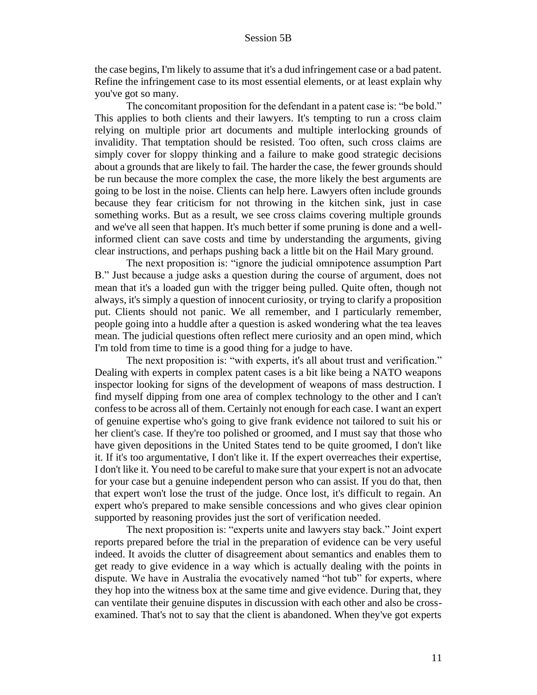the case begins, I'm likely to assume that it's a dud infringement case or a bad patent. Refine the infringement case to its most essential elements, or at least explain why you've got so many.

The concomitant proposition for the defendant in a patent case is: "be bold." This applies to both clients and their lawyers. It's tempting to run a cross claim relying on multiple prior art documents and multiple interlocking grounds of invalidity. That temptation should be resisted. Too often, such cross claims are simply cover for sloppy thinking and a failure to make good strategic decisions about a grounds that are likely to fail. The harder the case, the fewer grounds should be run because the more complex the case, the more likely the best arguments are going to be lost in the noise. Clients can help here. Lawyers often include grounds because they fear criticism for not throwing in the kitchen sink, just in case something works. But as a result, we see cross claims covering multiple grounds and we've all seen that happen. It's much better if some pruning is done and a wellinformed client can save costs and time by understanding the arguments, giving clear instructions, and perhaps pushing back a little bit on the Hail Mary ground.

The next proposition is: "ignore the judicial omnipotence assumption Part B." Just because a judge asks a question during the course of argument, does not mean that it's a loaded gun with the trigger being pulled. Quite often, though not always, it's simply a question of innocent curiosity, or trying to clarify a proposition put. Clients should not panic. We all remember, and I particularly remember, people going into a huddle after a question is asked wondering what the tea leaves mean. The judicial questions often reflect mere curiosity and an open mind, which I'm told from time to time is a good thing for a judge to have.

The next proposition is: "with experts, it's all about trust and verification." Dealing with experts in complex patent cases is a bit like being a NATO weapons inspector looking for signs of the development of weapons of mass destruction. I find myself dipping from one area of complex technology to the other and I can't confess to be across all of them. Certainly not enough for each case. I want an expert of genuine expertise who's going to give frank evidence not tailored to suit his or her client's case. If they're too polished or groomed, and I must say that those who have given depositions in the United States tend to be quite groomed, I don't like it. If it's too argumentative, I don't like it. If the expert overreaches their expertise, I don't like it. You need to be careful to make sure that your expert is not an advocate for your case but a genuine independent person who can assist. If you do that, then that expert won't lose the trust of the judge. Once lost, it's difficult to regain. An expert who's prepared to make sensible concessions and who gives clear opinion supported by reasoning provides just the sort of verification needed.

The next proposition is: "experts unite and lawyers stay back." Joint expert reports prepared before the trial in the preparation of evidence can be very useful indeed. It avoids the clutter of disagreement about semantics and enables them to get ready to give evidence in a way which is actually dealing with the points in dispute. We have in Australia the evocatively named "hot tub" for experts, where they hop into the witness box at the same time and give evidence. During that, they can ventilate their genuine disputes in discussion with each other and also be crossexamined. That's not to say that the client is abandoned. When they've got experts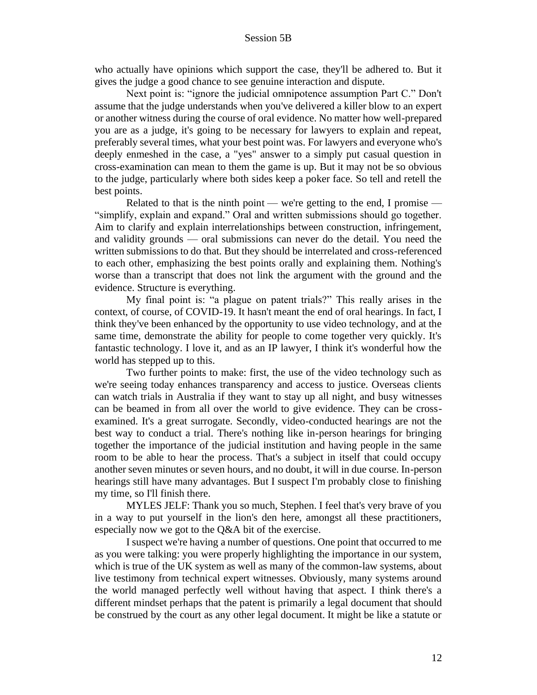who actually have opinions which support the case, they'll be adhered to. But it gives the judge a good chance to see genuine interaction and dispute.

Next point is: "ignore the judicial omnipotence assumption Part C." Don't assume that the judge understands when you've delivered a killer blow to an expert or another witness during the course of oral evidence. No matter how well-prepared you are as a judge, it's going to be necessary for lawyers to explain and repeat, preferably several times, what your best point was. For lawyers and everyone who's deeply enmeshed in the case, a "yes" answer to a simply put casual question in cross-examination can mean to them the game is up. But it may not be so obvious to the judge, particularly where both sides keep a poker face. So tell and retell the best points.

Related to that is the ninth point — we're getting to the end, I promise — "simplify, explain and expand." Oral and written submissions should go together. Aim to clarify and explain interrelationships between construction, infringement, and validity grounds — oral submissions can never do the detail. You need the written submissions to do that. But they should be interrelated and cross-referenced to each other, emphasizing the best points orally and explaining them. Nothing's worse than a transcript that does not link the argument with the ground and the evidence. Structure is everything.

My final point is: "a plague on patent trials?" This really arises in the context, of course, of COVID-19. It hasn't meant the end of oral hearings. In fact, I think they've been enhanced by the opportunity to use video technology, and at the same time, demonstrate the ability for people to come together very quickly. It's fantastic technology. I love it, and as an IP lawyer, I think it's wonderful how the world has stepped up to this.

Two further points to make: first, the use of the video technology such as we're seeing today enhances transparency and access to justice. Overseas clients can watch trials in Australia if they want to stay up all night, and busy witnesses can be beamed in from all over the world to give evidence. They can be crossexamined. It's a great surrogate. Secondly, video-conducted hearings are not the best way to conduct a trial. There's nothing like in-person hearings for bringing together the importance of the judicial institution and having people in the same room to be able to hear the process. That's a subject in itself that could occupy another seven minutes or seven hours, and no doubt, it will in due course. In-person hearings still have many advantages. But I suspect I'm probably close to finishing my time, so I'll finish there.

MYLES JELF: Thank you so much, Stephen. I feel that's very brave of you in a way to put yourself in the lion's den here, amongst all these practitioners, especially now we got to the Q&A bit of the exercise.

I suspect we're having a number of questions. One point that occurred to me as you were talking: you were properly highlighting the importance in our system, which is true of the UK system as well as many of the common-law systems, about live testimony from technical expert witnesses. Obviously, many systems around the world managed perfectly well without having that aspect. I think there's a different mindset perhaps that the patent is primarily a legal document that should be construed by the court as any other legal document. It might be like a statute or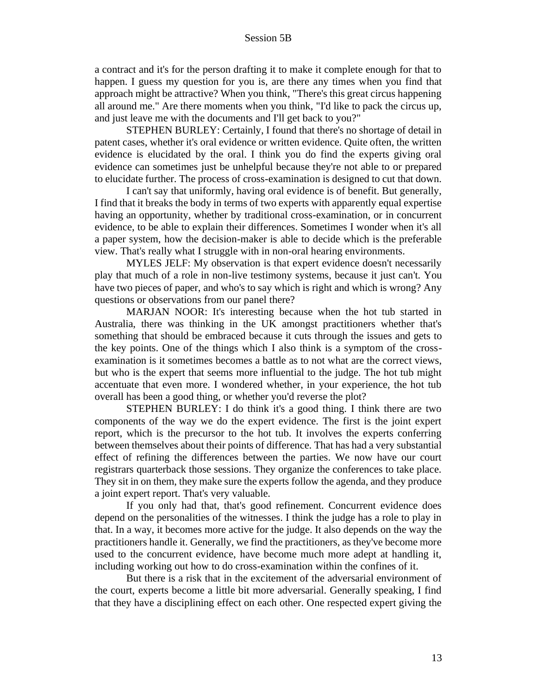a contract and it's for the person drafting it to make it complete enough for that to happen. I guess my question for you is, are there any times when you find that approach might be attractive? When you think, "There's this great circus happening all around me." Are there moments when you think, "I'd like to pack the circus up, and just leave me with the documents and I'll get back to you?"

STEPHEN BURLEY: Certainly, I found that there's no shortage of detail in patent cases, whether it's oral evidence or written evidence. Quite often, the written evidence is elucidated by the oral. I think you do find the experts giving oral evidence can sometimes just be unhelpful because they're not able to or prepared to elucidate further. The process of cross-examination is designed to cut that down.

I can't say that uniformly, having oral evidence is of benefit. But generally, I find that it breaks the body in terms of two experts with apparently equal expertise having an opportunity, whether by traditional cross-examination, or in concurrent evidence, to be able to explain their differences. Sometimes I wonder when it's all a paper system, how the decision-maker is able to decide which is the preferable view. That's really what I struggle with in non-oral hearing environments.

MYLES JELF: My observation is that expert evidence doesn't necessarily play that much of a role in non-live testimony systems, because it just can't. You have two pieces of paper, and who's to say which is right and which is wrong? Any questions or observations from our panel there?

MARJAN NOOR: It's interesting because when the hot tub started in Australia, there was thinking in the UK amongst practitioners whether that's something that should be embraced because it cuts through the issues and gets to the key points. One of the things which I also think is a symptom of the crossexamination is it sometimes becomes a battle as to not what are the correct views, but who is the expert that seems more influential to the judge. The hot tub might accentuate that even more. I wondered whether, in your experience, the hot tub overall has been a good thing, or whether you'd reverse the plot?

STEPHEN BURLEY: I do think it's a good thing. I think there are two components of the way we do the expert evidence. The first is the joint expert report, which is the precursor to the hot tub. It involves the experts conferring between themselves about their points of difference. That has had a very substantial effect of refining the differences between the parties. We now have our court registrars quarterback those sessions. They organize the conferences to take place. They sit in on them, they make sure the experts follow the agenda, and they produce a joint expert report. That's very valuable.

If you only had that, that's good refinement. Concurrent evidence does depend on the personalities of the witnesses. I think the judge has a role to play in that. In a way, it becomes more active for the judge. It also depends on the way the practitioners handle it. Generally, we find the practitioners, as they've become more used to the concurrent evidence, have become much more adept at handling it, including working out how to do cross-examination within the confines of it.

But there is a risk that in the excitement of the adversarial environment of the court, experts become a little bit more adversarial. Generally speaking, I find that they have a disciplining effect on each other. One respected expert giving the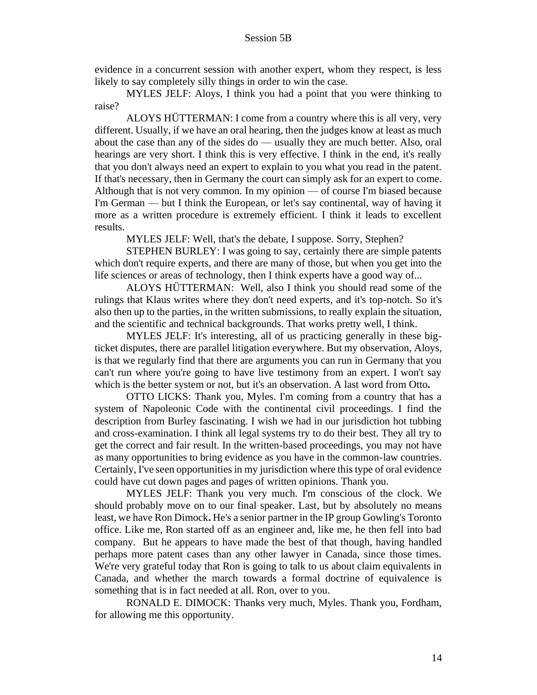evidence in a concurrent session with another expert, whom they respect, is less likely to say completely silly things in order to win the case.

MYLES JELF: Aloys, I think you had a point that you were thinking to raise?

ALOYS HÜTTERMAN: I come from a country where this is all very, very different. Usually, if we have an oral hearing, then the judges know at least as much about the case than any of the sides do — usually they are much better. Also, oral hearings are very short. I think this is very effective. I think in the end, it's really that you don't always need an expert to explain to you what you read in the patent. If that's necessary, then in Germany the court can simply ask for an expert to come. Although that is not very common. In my opinion — of course I'm biased because I'm German — but I think the European, or let's say continental, way of having it more as a written procedure is extremely efficient. I think it leads to excellent results.

MYLES JELF: Well, that's the debate, I suppose. Sorry, Stephen?

STEPHEN BURLEY: I was going to say, certainly there are simple patents which don't require experts, and there are many of those, but when you get into the life sciences or areas of technology, then I think experts have a good way of...

ALOYS HÜTTERMAN: Well, also I think you should read some of the rulings that Klaus writes where they don't need experts, and it's top-notch. So it's also then up to the parties, in the written submissions, to really explain the situation, and the scientific and technical backgrounds. That works pretty well, I think.

MYLES JELF: It's interesting, all of us practicing generally in these bigticket disputes, there are parallel litigation everywhere. But my observation, Aloys, is that we regularly find that there are arguments you can run in Germany that you can't run where you're going to have live testimony from an expert. I won't say which is the better system or not, but it's an observation. A last word from Otto**.** 

OTTO LICKS: Thank you, Myles. I'm coming from a country that has a system of Napoleonic Code with the continental civil proceedings. I find the description from Burley fascinating. I wish we had in our jurisdiction hot tubbing and cross-examination. I think all legal systems try to do their best. They all try to get the correct and fair result. In the written-based proceedings, you may not have as many opportunities to bring evidence as you have in the common-law countries. Certainly, I've seen opportunities in my jurisdiction where this type of oral evidence could have cut down pages and pages of written opinions. Thank you.

MYLES JELF: Thank you very much. I'm conscious of the clock. We should probably move on to our final speaker. Last, but by absolutely no means least, we have Ron Dimock**.** He's a senior partner in the IP group Gowling's Toronto office. Like me, Ron started off as an engineer and, like me, he then fell into bad company. But he appears to have made the best of that though, having handled perhaps more patent cases than any other lawyer in Canada, since those times. We're very grateful today that Ron is going to talk to us about claim equivalents in Canada, and whether the march towards a formal doctrine of equivalence is something that is in fact needed at all. Ron, over to you.

RONALD E. DIMOCK: Thanks very much, Myles. Thank you, Fordham, for allowing me this opportunity.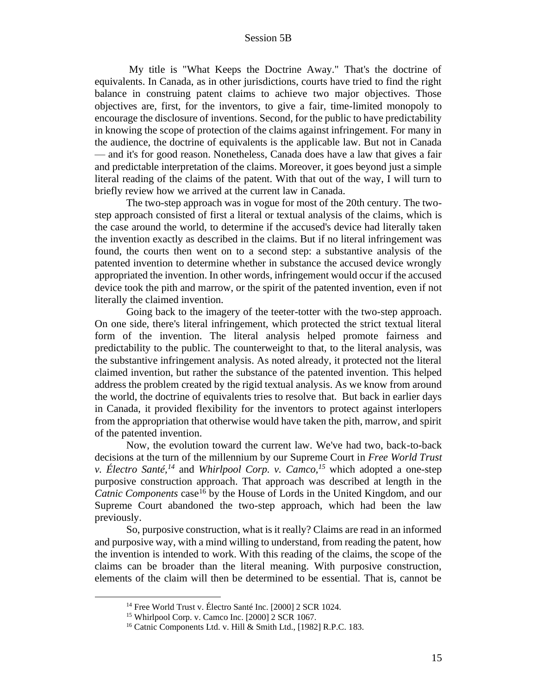My title is "What Keeps the Doctrine Away." That's the doctrine of equivalents. In Canada, as in other jurisdictions, courts have tried to find the right balance in construing patent claims to achieve two major objectives. Those objectives are, first, for the inventors, to give a fair, time-limited monopoly to encourage the disclosure of inventions. Second, for the public to have predictability in knowing the scope of protection of the claims against infringement. For many in the audience, the doctrine of equivalents is the applicable law. But not in Canada — and it's for good reason. Nonetheless, Canada does have a law that gives a fair and predictable interpretation of the claims. Moreover, it goes beyond just a simple literal reading of the claims of the patent. With that out of the way, I will turn to briefly review how we arrived at the current law in Canada.

The two-step approach was in vogue for most of the 20th century. The twostep approach consisted of first a literal or textual analysis of the claims, which is the case around the world, to determine if the accused's device had literally taken the invention exactly as described in the claims. But if no literal infringement was found, the courts then went on to a second step: a substantive analysis of the patented invention to determine whether in substance the accused device wrongly appropriated the invention. In other words, infringement would occur if the accused device took the pith and marrow, or the spirit of the patented invention, even if not literally the claimed invention.

Going back to the imagery of the teeter-totter with the two-step approach. On one side, there's literal infringement, which protected the strict textual literal form of the invention. The literal analysis helped promote fairness and predictability to the public. The counterweight to that, to the literal analysis, was the substantive infringement analysis. As noted already, it protected not the literal claimed invention, but rather the substance of the patented invention. This helped address the problem created by the rigid textual analysis. As we know from around the world, the doctrine of equivalents tries to resolve that. But back in earlier days in Canada, it provided flexibility for the inventors to protect against interlopers from the appropriation that otherwise would have taken the pith, marrow, and spirit of the patented invention.

Now, the evolution toward the current law. We've had two, back-to-back decisions at the turn of the millennium by our Supreme Court in *Free World Trust v. Électro Santé,<sup>14</sup>* and *Whirlpool Corp. v. Camco,<sup>15</sup>* which adopted a one-step purposive construction approach. That approach was described at length in the *Catnic Components* case<sup>16</sup> by the House of Lords in the United Kingdom, and our Supreme Court abandoned the two-step approach, which had been the law previously.

So, purposive construction, what is it really? Claims are read in an informed and purposive way, with a mind willing to understand, from reading the patent, how the invention is intended to work. With this reading of the claims, the scope of the claims can be broader than the literal meaning. With purposive construction, elements of the claim will then be determined to be essential. That is, cannot be

<sup>&</sup>lt;sup>14</sup> Free World Trust v. Électro Santé Inc. [2000] 2 SCR 1024.

<sup>15</sup> Whirlpool Corp. v. Camco Inc. [2000] 2 SCR 1067.

<sup>&</sup>lt;sup>16</sup> Catnic Components Ltd. v. Hill & Smith Ltd., [1982] R.P.C. 183.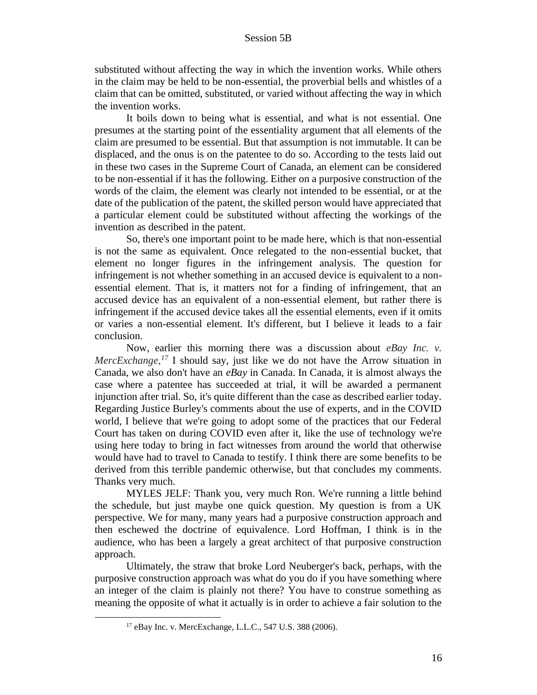substituted without affecting the way in which the invention works. While others in the claim may be held to be non-essential, the proverbial bells and whistles of a claim that can be omitted, substituted, or varied without affecting the way in which the invention works.

It boils down to being what is essential, and what is not essential. One presumes at the starting point of the essentiality argument that all elements of the claim are presumed to be essential. But that assumption is not immutable. It can be displaced, and the onus is on the patentee to do so. According to the tests laid out in these two cases in the Supreme Court of Canada, an element can be considered to be non-essential if it has the following. Either on a purposive construction of the words of the claim, the element was clearly not intended to be essential, or at the date of the publication of the patent, the skilled person would have appreciated that a particular element could be substituted without affecting the workings of the invention as described in the patent.

So, there's one important point to be made here, which is that non-essential is not the same as equivalent. Once relegated to the non-essential bucket, that element no longer figures in the infringement analysis. The question for infringement is not whether something in an accused device is equivalent to a nonessential element. That is, it matters not for a finding of infringement, that an accused device has an equivalent of a non-essential element, but rather there is infringement if the accused device takes all the essential elements, even if it omits or varies a non-essential element. It's different, but I believe it leads to a fair conclusion.

Now, earlier this morning there was a discussion about *eBay Inc. v. MercExchange,<sup>17</sup>* I should say, just like we do not have the Arrow situation in Canada, we also don't have an *eBay* in Canada. In Canada, it is almost always the case where a patentee has succeeded at trial, it will be awarded a permanent injunction after trial. So, it's quite different than the case as described earlier today. Regarding Justice Burley's comments about the use of experts, and in the COVID world, I believe that we're going to adopt some of the practices that our Federal Court has taken on during COVID even after it, like the use of technology we're using here today to bring in fact witnesses from around the world that otherwise would have had to travel to Canada to testify. I think there are some benefits to be derived from this terrible pandemic otherwise, but that concludes my comments. Thanks very much.

MYLES JELF: Thank you, very much Ron. We're running a little behind the schedule, but just maybe one quick question. My question is from a UK perspective. We for many, many years had a purposive construction approach and then eschewed the doctrine of equivalence. Lord Hoffman, I think is in the audience, who has been a largely a great architect of that purposive construction approach.

Ultimately, the straw that broke Lord Neuberger's back, perhaps, with the purposive construction approach was what do you do if you have something where an integer of the claim is plainly not there? You have to construe something as meaning the opposite of what it actually is in order to achieve a fair solution to the

<sup>17</sup> eBay Inc. v. MercExchange, L.L.C., 547 U.S. 388 (2006).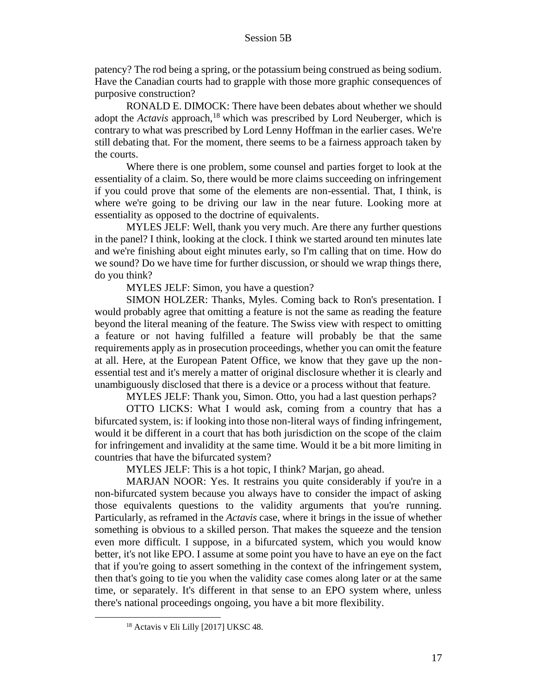patency? The rod being a spring, or the potassium being construed as being sodium. Have the Canadian courts had to grapple with those more graphic consequences of purposive construction?

RONALD E. DIMOCK: There have been debates about whether we should adopt the *Actavis* approach,<sup>18</sup> which was prescribed by Lord Neuberger, which is contrary to what was prescribed by Lord Lenny Hoffman in the earlier cases. We're still debating that. For the moment, there seems to be a fairness approach taken by the courts.

Where there is one problem, some counsel and parties forget to look at the essentiality of a claim. So, there would be more claims succeeding on infringement if you could prove that some of the elements are non-essential. That, I think, is where we're going to be driving our law in the near future. Looking more at essentiality as opposed to the doctrine of equivalents.

MYLES JELF: Well, thank you very much. Are there any further questions in the panel? I think, looking at the clock. I think we started around ten minutes late and we're finishing about eight minutes early, so I'm calling that on time. How do we sound? Do we have time for further discussion, or should we wrap things there, do you think?

MYLES JELF: Simon, you have a question?

SIMON HOLZER: Thanks, Myles. Coming back to Ron's presentation. I would probably agree that omitting a feature is not the same as reading the feature beyond the literal meaning of the feature. The Swiss view with respect to omitting a feature or not having fulfilled a feature will probably be that the same requirements apply as in prosecution proceedings, whether you can omit the feature at all. Here, at the European Patent Office, we know that they gave up the nonessential test and it's merely a matter of original disclosure whether it is clearly and unambiguously disclosed that there is a device or a process without that feature.

MYLES JELF: Thank you, Simon. Otto, you had a last question perhaps?

OTTO LICKS: What I would ask, coming from a country that has a bifurcated system, is: if looking into those non-literal ways of finding infringement, would it be different in a court that has both jurisdiction on the scope of the claim for infringement and invalidity at the same time. Would it be a bit more limiting in countries that have the bifurcated system?

MYLES JELF: This is a hot topic, I think? Marjan, go ahead.

MARJAN NOOR: Yes. It restrains you quite considerably if you're in a non-bifurcated system because you always have to consider the impact of asking those equivalents questions to the validity arguments that you're running. Particularly, as reframed in the *Actavis* case, where it brings in the issue of whether something is obvious to a skilled person. That makes the squeeze and the tension even more difficult. I suppose, in a bifurcated system, which you would know better, it's not like EPO. I assume at some point you have to have an eye on the fact that if you're going to assert something in the context of the infringement system, then that's going to tie you when the validity case comes along later or at the same time, or separately. It's different in that sense to an EPO system where, unless there's national proceedings ongoing, you have a bit more flexibility.

<sup>18</sup> Actavis v Eli Lilly [2017] UKSC 48.